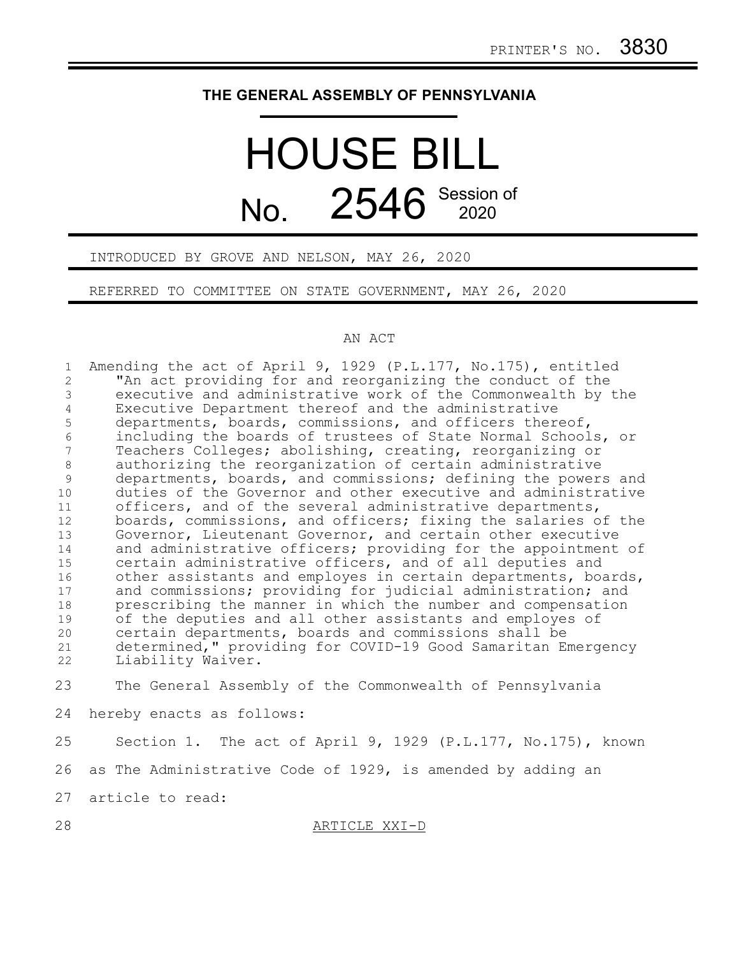## **THE GENERAL ASSEMBLY OF PENNSYLVANIA**

## HOUSE BILL No. 2546 Session of

INTRODUCED BY GROVE AND NELSON, MAY 26, 2020

REFERRED TO COMMITTEE ON STATE GOVERNMENT, MAY 26, 2020

## AN ACT

| $\mathbf{1}$   | Amending the act of April 9, 1929 (P.L.177, No.175), entitled |
|----------------|---------------------------------------------------------------|
| $\overline{2}$ | "An act providing for and reorganizing the conduct of the     |
| 3              | executive and administrative work of the Commonwealth by the  |
| 4              | Executive Department thereof and the administrative           |
| 5              | departments, boards, commissions, and officers thereof,       |
| $\epsilon$     | including the boards of trustees of State Normal Schools, or  |
| 7              | Teachers Colleges; abolishing, creating, reorganizing or      |
| $\,8\,$        | authorizing the reorganization of certain administrative      |
| 9              | departments, boards, and commissions; defining the powers and |
| 10             | duties of the Governor and other executive and administrative |
| 11             | officers, and of the several administrative departments,      |
| 12             | boards, commissions, and officers; fixing the salaries of the |
| 13             | Governor, Lieutenant Governor, and certain other executive    |
| 14             | and administrative officers; providing for the appointment of |
| 15             | certain administrative officers, and of all deputies and      |
| 16             | other assistants and employes in certain departments, boards, |
| 17             | and commissions; providing for judicial administration; and   |
| 18             | prescribing the manner in which the number and compensation   |
| 19             | of the deputies and all other assistants and employes of      |
| 20             | certain departments, boards and commissions shall be          |
| 21             | determined," providing for COVID-19 Good Samaritan Emergency  |
| 22             | Liability Waiver.                                             |
| 23             | The General Assembly of the Commonwealth of Pennsylvania      |
| 24             | hereby enacts as follows:                                     |
| 25             | Section 1. The act of April 9, 1929 (P.L.177, No.175), known  |
| 26             | as The Administrative Code of 1929, is amended by adding an   |
| 27             | article to read:                                              |
| 28             | ARTICLE XXI-D                                                 |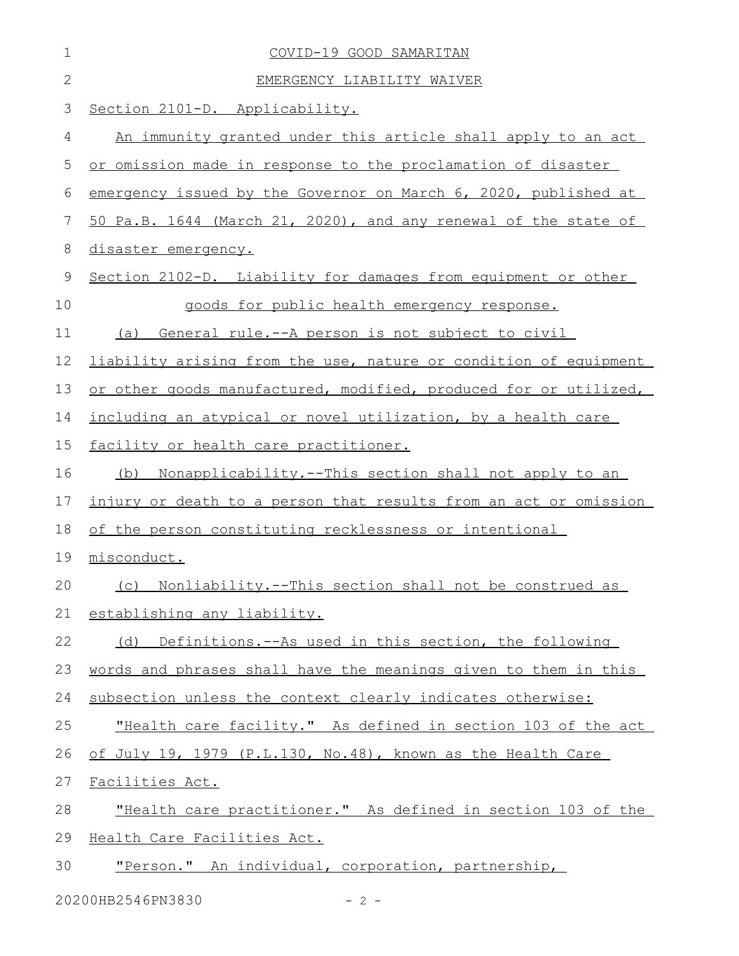| 1            | COVID-19 GOOD SAMARITAN                                             |
|--------------|---------------------------------------------------------------------|
| $\mathbf{2}$ | EMERGENCY LIABILITY WAIVER                                          |
| 3            | Section 2101-D. Applicability.                                      |
| 4            | An immunity granted under this article shall apply to an act        |
| 5            | or omission made in response to the proclamation of disaster        |
| 6            | emergency issued by the Governor on March 6, 2020, published at     |
| 7            | 50 Pa.B. 1644 (March 21, 2020), and any renewal of the state of     |
| 8            | disaster emergency.                                                 |
| 9            | Section 2102-D. Liability for damages from equipment or other       |
| 10           | goods for public health emergency response.                         |
| 11           | (a) General rule.--A person is not subject to civil                 |
| 12           | liability arising from the use, nature or condition of equipment    |
| 13           | or other goods manufactured, modified, produced for or utilized,    |
| 14           | including an atypical or novel utilization, by a health care        |
| 15           | facility or health care practitioner.                               |
| 16           | <u>Nonapplicability.--This section shall not apply to an</u><br>(b) |
| 17           | injury or death to a person that results from an act or omission    |
| 18           | of the person constituting recklessness or intentional              |
| 19           | misconduct.                                                         |
|              | 20 (c) Nonliability.--This section shall not be construed as        |
| 21           | establishing any liability.                                         |
| 22           | (d) Definitions.--As used in this section, the following            |
| 23           | words and phrases shall have the meanings given to them in this     |
| 24           | subsection unless the context clearly indicates otherwise:          |
| 25           | "Health care facility." As defined in section 103 of the act        |
| 26           | of July 19, 1979 (P.L.130, No.48), known as the Health Care         |
| 27           | Facilities Act.                                                     |
| 28           | "Health care practitioner." As defined in section 103 of the        |
| 29           | Health Care Facilities Act.                                         |
| 30           | "Person." An individual, corporation, partnership,                  |

20200HB2546PN3830 - 2 -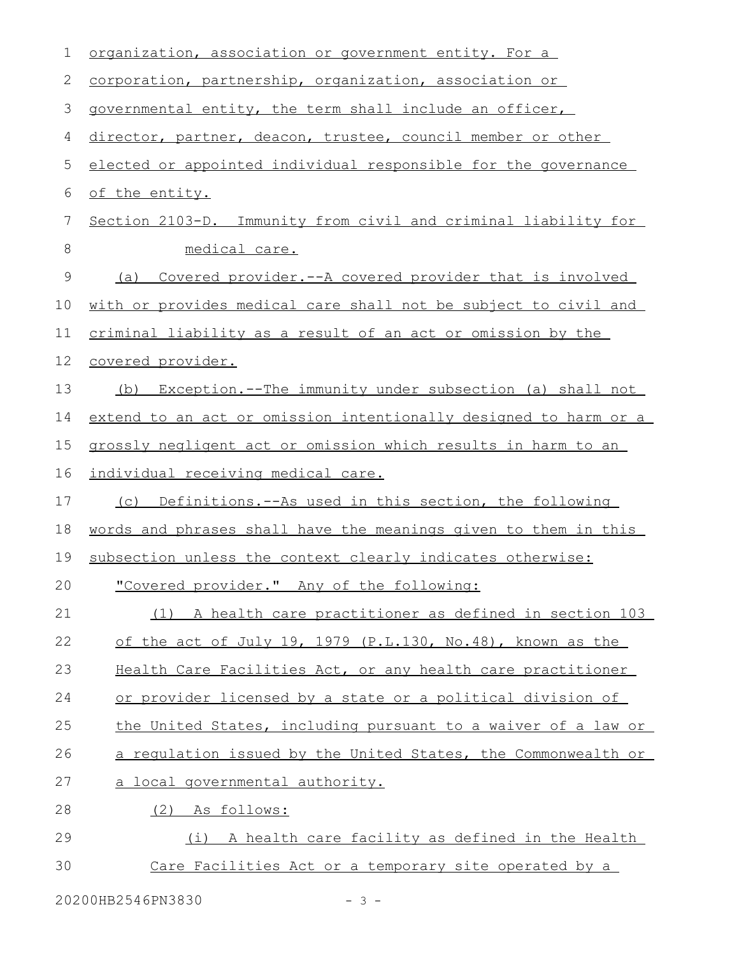| 1  | organization, association or government entity. For a            |
|----|------------------------------------------------------------------|
| 2  | corporation, partnership, organization, association or           |
| 3  | governmental entity, the term shall include an officer,          |
| 4  | director, partner, deacon, trustee, council member or other      |
| 5  | elected or appointed individual responsible for the governance   |
| 6  | of the entity.                                                   |
| 7  | Section 2103-D. Immunity from civil and criminal liability for   |
| 8  | medical care.                                                    |
| 9  | Covered provider.--A covered provider that is involved<br>(a)    |
| 10 | with or provides medical care shall not be subject to civil and  |
| 11 | criminal liability as a result of an act or omission by the      |
| 12 | covered provider.                                                |
| 13 | Exception.--The immunity under subsection (a) shall not<br>(b)   |
| 14 | extend to an act or omission intentionally designed to harm or a |
| 15 | grossly negligent act or omission which results in harm to an    |
| 16 | individual receiving medical care.                               |
| 17 | Definitions.--As used in this section, the following<br>(C)      |
| 18 | words and phrases shall have the meanings given to them in this  |
| 19 | subsection unless the context clearly indicates otherwise:       |
| 20 | "Covered provider." Any of the following:                        |
| 21 | (1) A health care practitioner as defined in section 103         |
| 22 | of the act of July 19, 1979 (P.L.130, No.48), known as the       |
| 23 | Health Care Facilities Act, or any health care practitioner      |
| 24 | or provider licensed by a state or a political division of       |
| 25 | the United States, including pursuant to a waiver of a law or    |
| 26 | a requlation issued by the United States, the Commonwealth or    |
| 27 | a local governmental authority.                                  |
| 28 | (2) As follows:                                                  |
| 29 | (i)<br>A health care facility as defined in the Health           |
| 30 | Care Facilities Act or a temporary site operated by a            |

20200HB2546PN3830 - 3 -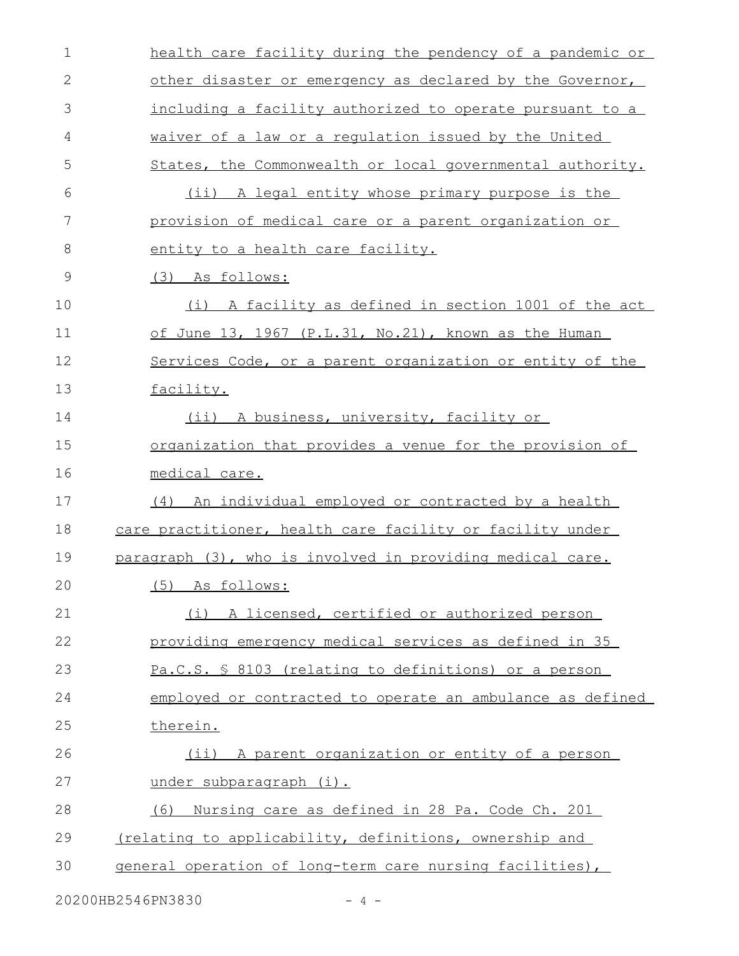| $\mathbf 1$ | health care facility during the pendency of a pandemic or |
|-------------|-----------------------------------------------------------|
| 2           | other disaster or emergency as declared by the Governor,  |
| 3           | including a facility authorized to operate pursuant to a  |
| 4           | waiver of a law or a regulation issued by the United      |
| 5           | States, the Commonwealth or local governmental authority. |
| 6           | (ii) A legal entity whose primary purpose is the          |
| 7           | provision of medical care or a parent organization or     |
| 8           | entity to a health care facility.                         |
| 9           | (3) As follows:                                           |
| 10          | A facility as defined in section 1001 of the act<br>(i)   |
| 11          | of June 13, 1967 (P.L.31, No.21), known as the Human      |
| 12          | Services Code, or a parent organization or entity of the  |
| 13          | facility.                                                 |
| 14          | (ii) A business, university, facility or                  |
| 15          | organization that provides a venue for the provision of   |
| 16          | medical care.                                             |
| 17          | (4) An individual employed or contracted by a health      |
| 18          | care practitioner, health care facility or facility under |
| 19          | paragraph (3), who is involved in providing medical care. |
| 20          | (5) As follows:                                           |
| 21          | (i) A licensed, certified or authorized person            |
| 22          | providing emergency medical services as defined in 35     |
| 23          | Pa.C.S. § 8103 (relating to definitions) or a person      |
| 24          | employed or contracted to operate an ambulance as defined |
| 25          | therein.                                                  |
| 26          | (ii) A parent organization or entity of a person          |
| 27          | under subparagraph (i).                                   |
| 28          | (6) Nursing care as defined in 28 Pa. Code Ch. 201        |
| 29          | (relating to applicability, definitions, ownership and    |
| 30          | general operation of long-term care nursing facilities),  |
|             |                                                           |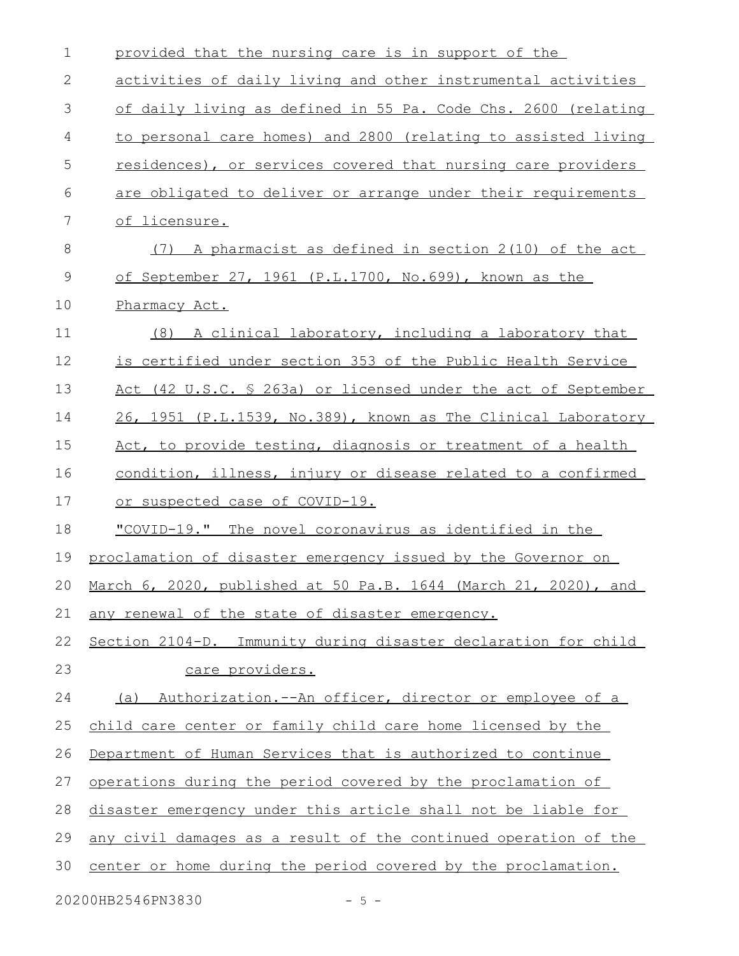| $\mathbf 1$  | provided that the nursing care is in support of the                |
|--------------|--------------------------------------------------------------------|
| $\mathbf{2}$ | activities of daily living and other instrumental activities       |
| 3            | of daily living as defined in 55 Pa. Code Chs. 2600 (relating      |
| 4            | to personal care homes) and 2800 (relating to assisted living      |
| 5            | residences), or services covered that nursing care providers       |
| 6            | are obligated to deliver or arrange under their requirements       |
| 7            | of licensure.                                                      |
| $8\,$        | A pharmacist as defined in section 2(10) of the act<br>(7)         |
| $\mathsf 9$  | of September 27, 1961 (P.L.1700, No.699), known as the             |
| 10           | Pharmacy Act.                                                      |
| 11           | (8) A clinical laboratory, including a laboratory that             |
| 12           | is certified under section 353 of the Public Health Service        |
| 13           | Act (42 U.S.C. § 263a) or licensed under the act of September      |
| 14           | 26, 1951 (P.L.1539, No.389), known as The Clinical Laboratory      |
| 15           | Act, to provide testing, diagnosis or treatment of a health        |
| 16           | condition, illness, injury or disease related to a confirmed       |
| 17           | or suspected case of COVID-19.                                     |
| 18           | "COVID-19." The novel coronavirus as identified in the             |
| 19           | proclamation of disaster emergency issued by the Governor on       |
|              | 20 March 6, 2020, published at 50 Pa.B. 1644 (March 21, 2020), and |
| 21           | any renewal of the state of disaster emergency.                    |
| 22           | Section 2104-D. Immunity during disaster declaration for child     |
| 23           | care providers.                                                    |
| 24           | (a) Authorization.--An officer, director or employee of a          |
| 25           | child care center or family child care home licensed by the        |
| 26           | Department of Human Services that is authorized to continue        |
| 27           | operations during the period covered by the proclamation of        |
| 28           | disaster emergency under this article shall not be liable for      |
| 29           | any civil damages as a result of the continued operation of the    |
| 30           | center or home during the period covered by the proclamation.      |
|              |                                                                    |

20200HB2546PN3830 - 5 -